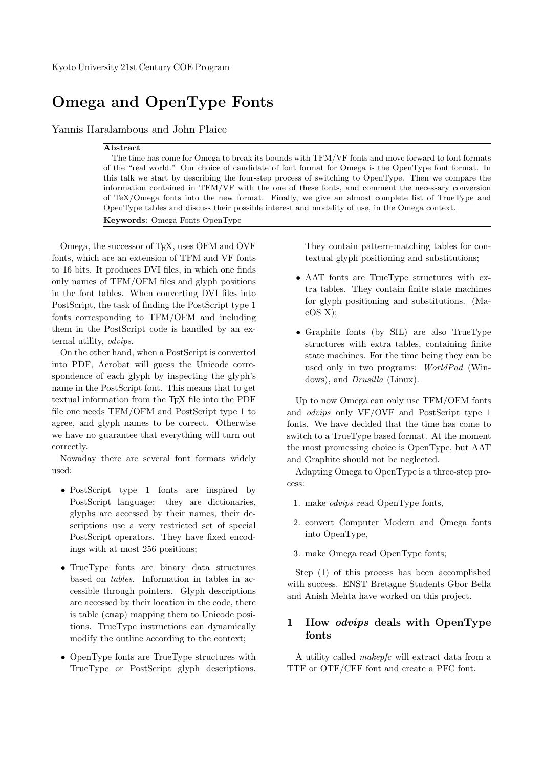# Omega and OpenType Fonts

Yannis Haralambous and John Plaice

#### Abstract

The time has come for Omega to break its bounds with TFM/VF fonts and move forward to font formats of the "real world." Our choice of candidate of font format for Omega is the OpenType font format. In this talk we start by describing the four-step process of switching to OpenType. Then we compare the information contained in TFM/VF with the one of these fonts, and comment the necessary conversion of TeX/Omega fonts into the new format. Finally, we give an almost complete list of TrueType and OpenType tables and discuss their possible interest and modality of use, in the Omega context.

Keywords: Omega Fonts OpenType

Omega, the successor of T<sub>F</sub>X, uses OFM and OVF fonts, which are an extension of TFM and VF fonts to 16 bits. It produces DVI files, in which one finds only names of TFM/OFM files and glyph positions in the font tables. When converting DVI files into PostScript, the task of finding the PostScript type 1 fonts corresponding to TFM/OFM and including them in the PostScript code is handled by an external utility, odvips.

On the other hand, when a PostScript is converted into PDF, Acrobat will guess the Unicode correspondence of each glyph by inspecting the glyph's name in the PostScript font. This means that to get textual information from the TEX file into the PDF file one needs TFM/OFM and PostScript type 1 to agree, and glyph names to be correct. Otherwise we have no guarantee that everything will turn out correctly.

Nowaday there are several font formats widely used:

- PostScript type 1 fonts are inspired by PostScript language: they are dictionaries, glyphs are accessed by their names, their descriptions use a very restricted set of special PostScript operators. They have fixed encodings with at most 256 positions;
- TrueType fonts are binary data structures based on tables. Information in tables in accessible through pointers. Glyph descriptions are accessed by their location in the code, there is table (cmap) mapping them to Unicode positions. TrueType instructions can dynamically modify the outline according to the context;
- OpenType fonts are TrueType structures with TrueType or PostScript glyph descriptions.

They contain pattern-matching tables for contextual glyph positioning and substitutions;

- AAT fonts are TrueType structures with extra tables. They contain finite state machines for glyph positioning and substitutions. (Ma $cOS X);$
- Graphite fonts (by SIL) are also TrueType structures with extra tables, containing finite state machines. For the time being they can be used only in two programs: WorldPad (Windows), and Drusilla (Linux).

Up to now Omega can only use TFM/OFM fonts and odvips only VF/OVF and PostScript type 1 fonts. We have decided that the time has come to switch to a TrueType based format. At the moment the most promessing choice is OpenType, but AAT and Graphite should not be neglected.

Adapting Omega to OpenType is a three-step process:

- 1. make odvips read OpenType fonts,
- 2. convert Computer Modern and Omega fonts into OpenType,
- 3. make Omega read OpenType fonts;

Step (1) of this process has been accomplished with success. ENST Bretagne Students Gbor Bella and Anish Mehta have worked on this project.

# 1 How odvips deals with OpenType fonts

A utility called makepfc will extract data from a TTF or OTF/CFF font and create a PFC font.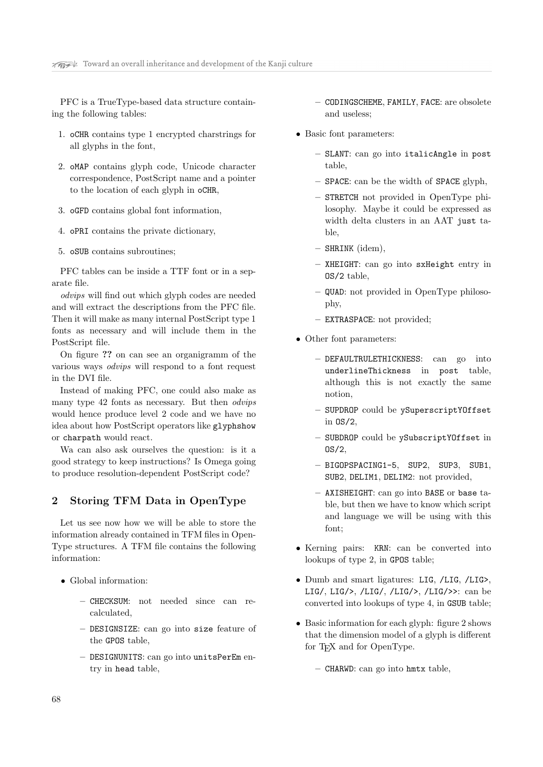PFC is a TrueType-based data structure containing the following tables:

- 1. oCHR contains type 1 encrypted charstrings for all glyphs in the font,
- 2. oMAP contains glyph code, Unicode character correspondence, PostScript name and a pointer to the location of each glyph in oCHR,
- 3. oGFD contains global font information,
- 4. oPRI contains the private dictionary,
- 5. oSUB contains subroutines;

PFC tables can be inside a TTF font or in a separate file.

odvips will find out which glyph codes are needed and will extract the descriptions from the PFC file. Then it will make as many internal PostScript type 1 fonts as necessary and will include them in the PostScript file.

On figure ?? on can see an organigramm of the various ways odvips will respond to a font request in the DVI file.

Instead of making PFC, one could also make as many type 42 fonts as necessary. But then odvips would hence produce level 2 code and we have no idea about how PostScript operators like glyphshow or charpath would react.

Wa can also ask ourselves the question: is it a good strategy to keep instructions? Is Omega going to produce resolution-dependent PostScript code?

# 2 Storing TFM Data in OpenType

Let us see now how we will be able to store the information already contained in TFM files in Open-Type structures. A TFM file contains the following information:

- Global information:
	- CHECKSUM: not needed since can recalculated,
	- DESIGNSIZE: can go into size feature of the GPOS table,
	- DESIGNUNITS: can go into unitsPerEm entry in head table,
- CODINGSCHEME, FAMILY, FACE: are obsolete and useless;
- Basic font parameters:
	- SLANT: can go into italicAngle in post table,
	- SPACE: can be the width of SPACE glyph,
	- STRETCH not provided in OpenType philosophy. Maybe it could be expressed as width delta clusters in an AAT just table,
	- SHRINK (idem),
	- XHEIGHT: can go into sxHeight entry in OS/2 table,
	- QUAD: not provided in OpenType philosophy,
	- EXTRASPACE: not provided;
- Other font parameters:
	- DEFAULTRULETHICKNESS: can go into underlineThickness in post table, although this is not exactly the same notion,
	- SUPDROP could be ySuperscriptYOffset in OS/2,
	- SUBDROP could be ySubscriptYOffset in  $OS/2$ ,
	- BIGOPSPACING1-5, SUP2, SUP3, SUB1, SUB2, DELIM1, DELIM2: not provided,
	- AXISHEIGHT: can go into BASE or base table, but then we have to know which script and language we will be using with this font;
- Kerning pairs: KRN: can be converted into lookups of type 2, in GPOS table;
- Dumb and smart ligatures: LIG, /LIG, /LIG>, LIG/, LIG/>, /LIG/, /LIG/>, /LIG/>>: can be converted into lookups of type 4, in GSUB table;
- Basic information for each glyph: figure 2 shows that the dimension model of a glyph is different for T<sub>E</sub>X and for OpenType.
	- CHARWD: can go into hmtx table,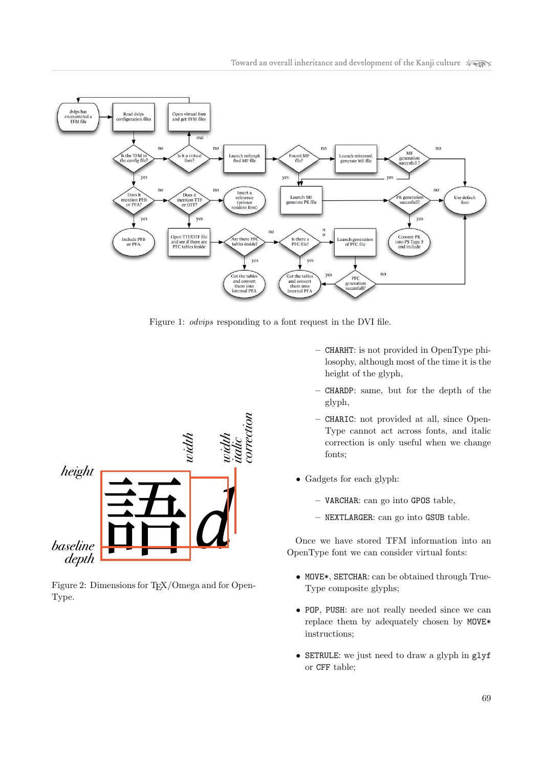

Figure 1: odvips responding to a font request in the DVI file.



Figure 2: Dimensions for T<sub>E</sub>X/Omega and for Open-Type.

- CHARHT: is not provided in OpenType philosophy, although most of the time it is the height of the glyph,
- CHARDP: same, but for the depth of the glyph,
- CHARIC: not provided at all, since Open-Type cannot act across fonts, and italic correction is only useful when we change fonts;
- Gadgets for each glyph:
	- VARCHAR: can go into GPOS table,
	- NEXTLARGER: can go into GSUB table.

Once we have stored TFM information into an OpenType font we can consider virtual fonts:

- MOVE\*, SETCHAR: can be obtained through True-Type composite glyphs;
- POP, PUSH: are not really needed since we can replace them by adequately chosen by MOVE\* instructions;
- SETRULE: we just need to draw a glyph in glyf or CFF table;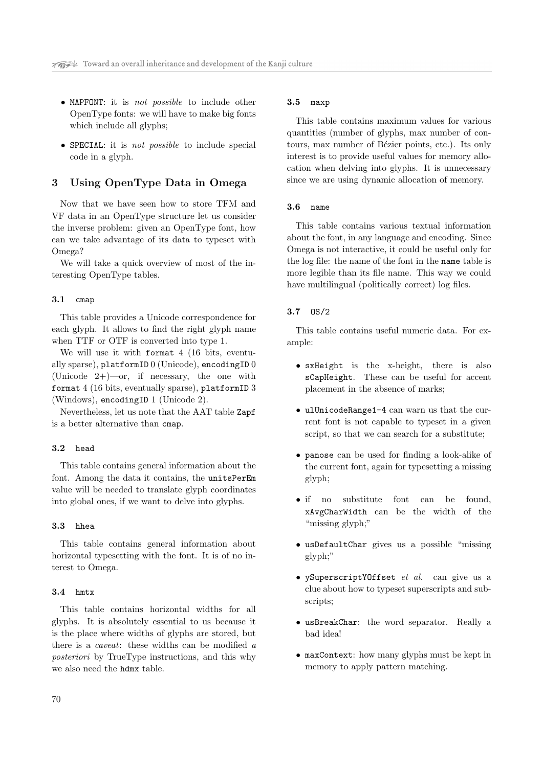- MAPFONT: it is not possible to include other OpenType fonts: we will have to make big fonts which include all glyphs;
- SPECIAL: it is not possible to include special code in a glyph.

# 3 Using OpenType Data in Omega

Now that we have seen how to store TFM and VF data in an OpenType structure let us consider the inverse problem: given an OpenType font, how can we take advantage of its data to typeset with Omega?

We will take a quick overview of most of the interesting OpenType tables.

#### 3.1 cmap

This table provides a Unicode correspondence for each glyph. It allows to find the right glyph name when TTF or OTF is converted into type 1.

We will use it with format 4 (16 bits, eventually sparse), platformID 0 (Unicode), encodingID 0 (Unicode  $2+$ )—or, if necessary, the one with format 4 (16 bits, eventually sparse), platformID 3 (Windows), encodingID 1 (Unicode 2).

Nevertheless, let us note that the AAT table Zapf is a better alternative than cmap.

#### 3.2 head

This table contains general information about the font. Among the data it contains, the unitsPerEm value will be needed to translate glyph coordinates into global ones, if we want to delve into glyphs.

#### 3.3 hhea

This table contains general information about horizontal typesetting with the font. It is of no interest to Omega.

#### 3.4 hmtx

This table contains horizontal widths for all glyphs. It is absolutely essential to us because it is the place where widths of glyphs are stored, but there is a caveat: these widths can be modified a posteriori by TrueType instructions, and this why we also need the hdmx table.

#### 3.5 maxp

This table contains maximum values for various quantities (number of glyphs, max number of contours, max number of Bézier points, etc.). Its only interest is to provide useful values for memory allocation when delving into glyphs. It is unnecessary since we are using dynamic allocation of memory.

## 3.6 name

This table contains various textual information about the font, in any language and encoding. Since Omega is not interactive, it could be useful only for the log file: the name of the font in the name table is more legible than its file name. This way we could have multilingual (politically correct) log files.

#### 3.7 OS/2

This table contains useful numeric data. For example:

- sxHeight is the x-height, there is also sCapHeight. These can be useful for accent placement in the absence of marks;
- ulUnicodeRange1-4 can warn us that the current font is not capable to typeset in a given script, so that we can search for a substitute;
- panose can be used for finding a look-alike of the current font, again for typesetting a missing glyph;
- if no substitute font can be found, xAvgCharWidth can be the width of the "missing glyph;"
- usDefaultChar gives us a possible "missing glyph;"
- ySuperscriptYOffset et al. can give us a clue about how to typeset superscripts and subscripts;
- usBreakChar: the word separator. Really a bad idea!
- maxContext: how many glyphs must be kept in memory to apply pattern matching.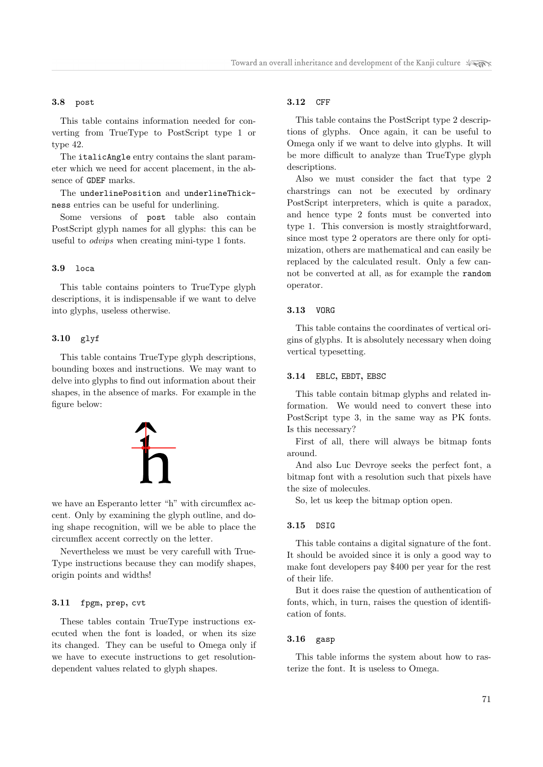#### 3.8 post

This table contains information needed for converting from TrueType to PostScript type 1 or type 42.

The italicAngle entry contains the slant parameter which we need for accent placement, in the absence of GDEF marks.

The underlinePosition and underlineThickness entries can be useful for underlining.

Some versions of post table also contain PostScript glyph names for all glyphs: this can be useful to odvips when creating mini-type 1 fonts.

#### 3.9 loca

This table contains pointers to TrueType glyph descriptions, it is indispensable if we want to delve into glyphs, useless otherwise.

# 3.10 glyf

This table contains TrueType glyph descriptions, bounding boxes and instructions. We may want to delve into glyphs to find out information about their shapes, in the absence of marks. For example in the figure below:



we have an Esperanto letter "h" with circumflex accent. Only by examining the glyph outline, and doing shape recognition, will we be able to place the circumflex accent correctly on the letter.

Nevertheless we must be very carefull with True-Type instructions because they can modify shapes, origin points and widths!

# 3.11 fpgm, prep, cvt

These tables contain TrueType instructions executed when the font is loaded, or when its size its changed. They can be useful to Omega only if we have to execute instructions to get resolutiondependent values related to glyph shapes.

#### 3.12 CFF

This table contains the PostScript type 2 descriptions of glyphs. Once again, it can be useful to Omega only if we want to delve into glyphs. It will be more difficult to analyze than TrueType glyph descriptions.

Also we must consider the fact that type 2 charstrings can not be executed by ordinary PostScript interpreters, which is quite a paradox, and hence type 2 fonts must be converted into type 1. This conversion is mostly straightforward, since most type 2 operators are there only for optimization, others are mathematical and can easily be replaced by the calculated result. Only a few cannot be converted at all, as for example the random operator.

#### 3.13 VORG

This table contains the coordinates of vertical origins of glyphs. It is absolutely necessary when doing vertical typesetting.

#### 3.14 EBLC, EBDT, EBSC

This table contain bitmap glyphs and related information. We would need to convert these into PostScript type 3, in the same way as PK fonts. Is this necessary?

First of all, there will always be bitmap fonts around.

And also Luc Devroye seeks the perfect font, a bitmap font with a resolution such that pixels have the size of molecules.

So, let us keep the bitmap option open.

#### 3.15 DSIG

This table contains a digital signature of the font. It should be avoided since it is only a good way to make font developers pay \$400 per year for the rest of their life.

But it does raise the question of authentication of fonts, which, in turn, raises the question of identification of fonts.

#### 3.16 gasp

This table informs the system about how to rasterize the font. It is useless to Omega.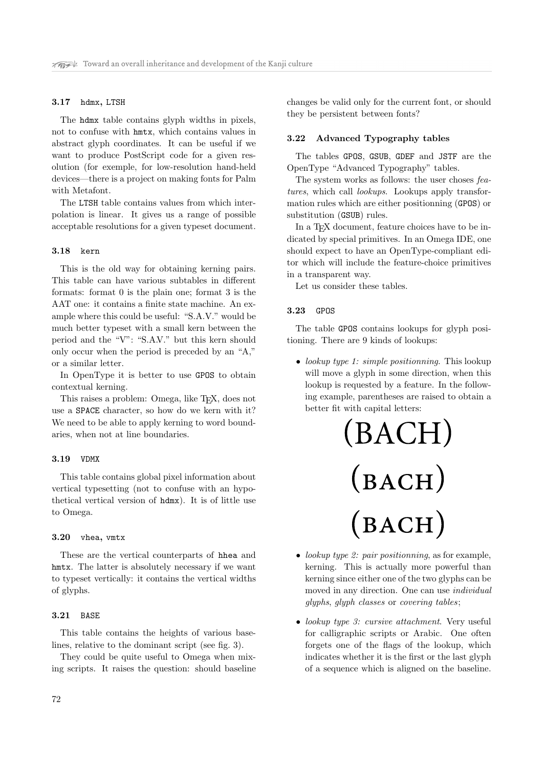#### 3.17 hdmx, LTSH

The hdmx table contains glyph widths in pixels, not to confuse with hmtx, which contains values in abstract glyph coordinates. It can be useful if we want to produce PostScript code for a given resolution (for exemple, for low-resolution hand-held devices—there is a project on making fonts for Palm with Metafont.

The LTSH table contains values from which interpolation is linear. It gives us a range of possible acceptable resolutions for a given typeset document.

#### 3.18 kern

This is the old way for obtaining kerning pairs. This table can have various subtables in different formats: format 0 is the plain one; format 3 is the AAT one: it contains a finite state machine. An example where this could be useful: "S.A.V." would be much better typeset with a small kern between the period and the "V": "S.A.V." but this kern should only occur when the period is preceded by an "A," or a similar letter.

In OpenType it is better to use GPOS to obtain contextual kerning.

This raises a problem: Omega, like T<sub>E</sub>X, does not use a SPACE character, so how do we kern with it? We need to be able to apply kerning to word boundaries, when not at line boundaries.

#### 3.19 VDMX

This table contains global pixel information about vertical typesetting (not to confuse with an hypothetical vertical version of hdmx). It is of little use to Omega.

#### 3.20 vhea, vmtx

These are the vertical counterparts of hhea and hmtx. The latter is absolutely necessary if we want to typeset vertically: it contains the vertical widths of glyphs.

#### 3.21 BASE

This table contains the heights of various baselines, relative to the dominant script (see fig. 3).

They could be quite useful to Omega when mixing scripts. It raises the question: should baseline changes be valid only for the current font, or should they be persistent between fonts?

#### 3.22 Advanced Typography tables

The tables GPOS, GSUB, GDEF and JSTF are the OpenType "Advanced Typography" tables.

The system works as follows: the user choses features, which call *lookups*. Lookups apply transformation rules which are either positionning (GPOS) or substitution (GSUB) rules.

In a T<sub>EX</sub> document, feature choices have to be indicated by special primitives. In an Omega IDE, one should expect to have an OpenType-compliant editor which will include the feature-choice primitives in a transparent way.

Let us consider these tables.

#### 3.23 GPOS

The table GPOS contains lookups for glyph positioning. There are 9 kinds of lookups:

• lookup type 1: simple positionning. This lookup will move a glyph in some direction, when this lookup is requested by a feature. In the following example, parentheses are raised to obtain a better fit with capital letters:



- lookup type 2: pair positionning, as for example, kerning. This is actually more powerful than kerning since either one of the two glyphs can be moved in any direction. One can use individual glyphs, glyph classes or covering tables;
- *lookup type 3: cursive attachment*. Very useful for calligraphic scripts or Arabic. One often forgets one of the flags of the lookup, which indicates whether it is the first or the last glyph of a sequence which is aligned on the baseline.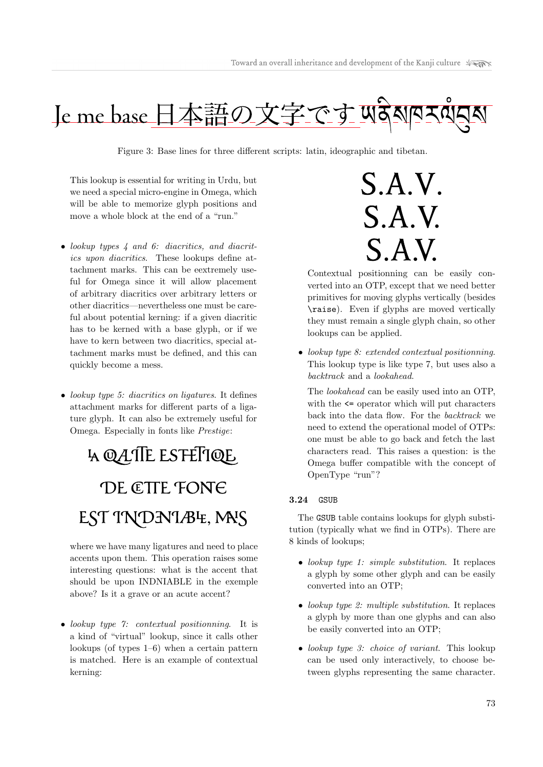

Figure 3: Base lines for three different scripts: latin, ideographic and tibetan.

This lookup is essential for writing in Urdu, but we need a special micro-engine in Omega, which will be able to memorize glyph positions and move a whole block at the end of a "run."

- lookup types 4 and 6: diacritics, and diacritics upon diacritics. These lookups define attachment marks. This can be eextremely useful for Omega since it will allow placement of arbitrary diacritics over arbitrary letters or other diacritics—nevertheless one must be careful about potential kerning: if a given diacritic has to be kerned with a base glyph, or if we have to kern between two diacritics, special attachment marks must be defined, and this can quickly become a mess.
- lookup type 5: diacritics on ligatures. It defines attachment marks for different parts of a ligature glyph. It can also be extremely useful for Omega. Especially in fonts like Prestige:

# **4 QATTE ESTETTQE** DE CTTE FONE EST TNDNTABE, MAS

where we have many ligatures and need to place accents upon them. This operation raises some interesting questions: what is the accent that should be upon INDNIABLE in the exemple above? Is it a grave or an acute accent?

• lookup type 7: contextual positionning. It is a kind of "virtual" lookup, since it calls other lookups (of types 1–6) when a certain pattern is matched. Here is an example of contextual kerning:

 $S.A.V.$  $S.A.V.$  $S.A.V.$ 

Contextual positionning can be easily converted into an OTP, except that we need better primitives for moving glyphs vertically (besides \raise). Even if glyphs are moved vertically they must remain a single glyph chain, so other lookups can be applied.

• lookup type 8: extended contextual positionning. This lookup type is like type 7, but uses also a backtrack and a lookahead.

The lookahead can be easily used into an OTP, with the  $\leq$  operator which will put characters back into the data flow. For the backtrack we need to extend the operational model of OTPs: one must be able to go back and fetch the last characters read. This raises a question: is the Omega buffer compatible with the concept of OpenType "run"?

# 3.24 GSUB

The GSUB table contains lookups for glyph substitution (typically what we find in OTPs). There are 8 kinds of lookups;

- lookup type 1: simple substitution. It replaces a glyph by some other glyph and can be easily converted into an OTP;
- lookup type 2: multiple substitution. It replaces a glyph by more than one glyphs and can also be easily converted into an OTP;
- lookup type 3: choice of variant. This lookup can be used only interactively, to choose between glyphs representing the same character.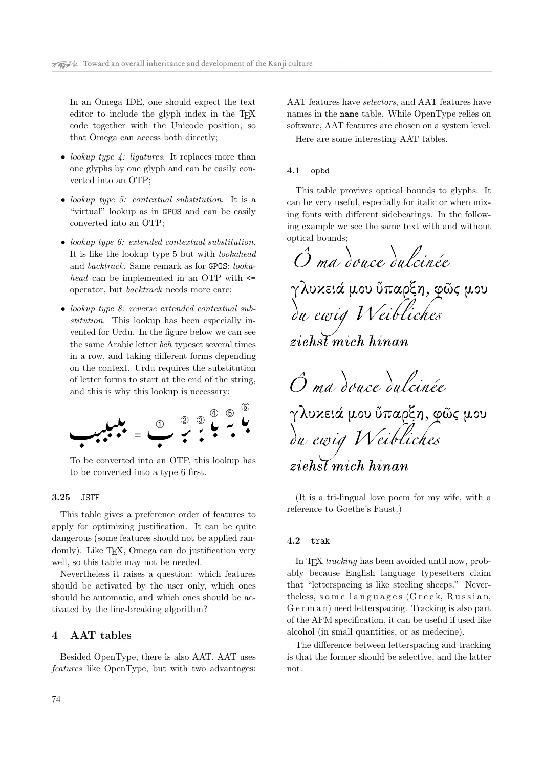In an Omega IDE, one should expect the text editor to include the glyph index in the T<sub>E</sub>X code together with the Unicode position, so that Omega can access both directly;

- lookup type  $\downarrow$ : ligatures. It replaces more than one glyphs by one glyph and can be easily converted into an OTP;
- lookup type 5: contextual substitution. It is a "virtual" lookup as in GPOS and can be easily converted into an OTP;
- lookup type 6: extended contextual substitution. It is like the lookup type 5 but with lookahead and backtrack. Same remark as for GPOS: lookahead can be implemented in an OTP with <= operator, but backtrack needs more care;
- lookup type 8: reverse extended contextual substitution. This lookup has been especially invented for Urdu. In the figure below we can see the same Arabic letter beh typeset several times in a row, and taking different forms depending on the context. Urdu requires the substitution of letter forms to start at the end of the string, and this is why this lookup is necessary:



To be converted into an OTP, this lookup has to be converted into a type 6 first.

# 3.25 JSTF

This table gives a preference order of features to apply for optimizing justification. It can be quite dangerous (some features should not be applied randomly). Like TEX, Omega can do justification very well, so this table may not be needed.

Nevertheless it raises a question: which features should be activated by the user only, which ones should be automatic, and which ones should be activated by the line-breaking algorithm?

# 4 AAT tables

Besided OpenType, there is also AAT. AAT uses features like OpenType, but with two advantages: AAT features have selectors, and AAT features have names in the name table. While OpenType relies on software, AAT features are chosen on a system level. Here are some interesting AAT tables.

#### 4.1 opbd

This table provives optical bounds to glyphs. It can be very useful, especially for italic or when mixing fonts with different sidebearings. In the following example we see the same text with and without optical bounds;

O ma douce dulcinée γλυχειά μου ὕπαρξη, φῶς μου du ewig Weibliches  $zieh\overline{st}$  mich hinan O ma douce du cinée γλυκειά μου ὕπαρξη, φῶς μου<br>*δα ewig IV eibliches* 

ziehst mich hinan

(It is a tri-lingual love poem for my wife, with a reference to Goethe's Faust.)

#### 4.2 trak

In T<sub>E</sub>X tracking has been avoided until now, probably because English language typesetters claim that "letterspacing is like steeling sheeps." Nevertheless, s o m e l a n g u a g e s (G r e e k, R u s s i a n, G e r m a n) need letterspacing. Tracking is also part of the AFM specification, it can be useful if used like alcohol (in small quantities, or as medecine).

The difference between letterspacing and tracking is that the former should be selective, and the latter not.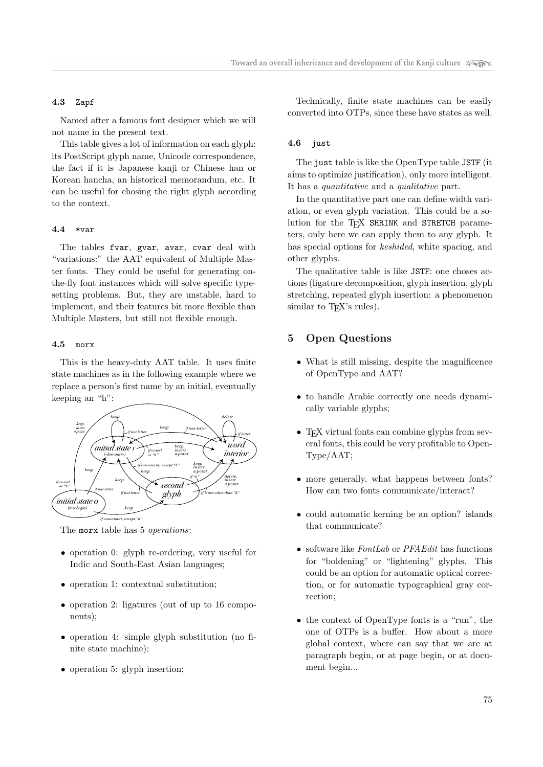#### 4.3 Zapf

Named after a famous font designer which we will not name in the present text.

This table gives a lot of information on each glyph: its PostScript glyph name, Unicode correspondence, the fact if it is Japanese kanji or Chinese han or Korean hancha, an historical memorandum, etc. It can be useful for chosing the right glyph according to the context.

#### 4.4 \*var

The tables fvar, gvar, avar, cvar deal with "variations:" the AAT equivalent of Multiple Master fonts. They could be useful for generating onthe-fly font instances which will solve specific typesetting problems. But, they are unstable, hard to implement, and their features bit more flexible than Multiple Masters, but still not flexible enough.

#### 4.5 morx

This is the heavy-duty AAT table. It uses finite state machines as in the following example where we replace a person's first name by an initial, eventually keeping an "h":



The morx table has 5 *operations*:

- operation 0: glyph re-ordering, very useful for Indic and South-East Asian languages;
- operation 1: contextual substitution;
- operation 2: ligatures (out of up to 16 components);
- operation 4: simple glyph substitution (no finite state machine);
- operation 5: glyph insertion;

Technically, finite state machines can be easily converted into OTPs, since these have states as well.

#### 4.6 just

The just table is like the OpenType table JSTF (it aims to optimize justification), only more intelligent. It has a quantitative and a qualitative part.

In the quantitative part one can define width variation, or even glyph variation. This could be a solution for the TEX SHRINK and STRETCH parameters, only here we can apply them to any glyph. It has special options for keshided, white spacing, and other glyphs.

The qualitative table is like JSTF: one choses actions (ligature decomposition, glyph insertion, glyph stretching, repeated glyph insertion: a phenomenon similar to T<sub>F</sub>X's rules).

# 5 Open Questions

- What is still missing, despite the magnificence of OpenType and AAT?
- to handle Arabic correctly one needs dynamically variable glyphs;
- T<sub>E</sub>X virtual fonts can combine glyphs from several fonts, this could be very profitable to Open-Type/AAT;
- more generally, what happens between fonts? How can two fonts communicate/interact?
- could automatic kerning be an option? islands that communicate?
- software like FontLab or PFAEdit has functions for "boldening" or "lightening" glyphs. This could be an option for automatic optical correction, or for automatic typographical gray correction;
- the context of OpenType fonts is a "run", the one of OTPs is a buffer. How about a more global context, where can say that we are at paragraph begin, or at page begin, or at document begin...